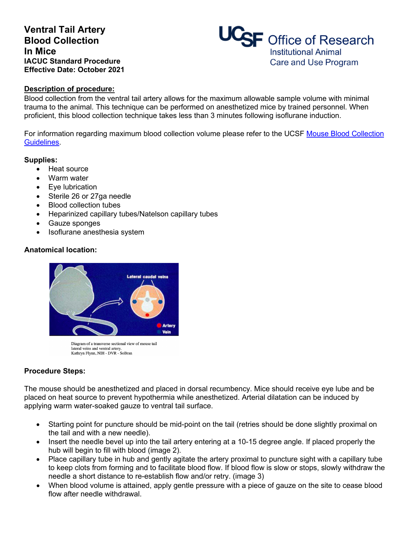# **Ventral Tail Artery Blood Collection In Mice IACUC Standard Procedure Effective Date: October 2021**



#### **Description of procedure:**

Blood collection from the ventral tail artery allows for the maximum allowable sample volume with minimal trauma to the animal. This technique can be performed on anesthetized mice by trained personnel. When proficient, this blood collection technique takes less than 3 minutes following isoflurane induction.

For information regarding maximum blood collection volume please refer to the UCSF [Mouse Blood Collection](https://iacuc.ucsf.edu/sites/g/files/tkssra751/f/wysiwyg/GUIDELINE%20-%20Blood%20Collection%20-%20The%20Mouse.pdf) [Guidelines.](https://iacuc.ucsf.edu/sites/g/files/tkssra751/f/wysiwyg/GUIDELINE%20-%20Blood%20Collection%20-%20The%20Mouse.pdf)

#### **Supplies:**

- Heat source
- Warm water
- Eye lubrication
- Sterile 26 or 27ga needle
- Blood collection tubes
- Heparinized capillary tubes/Natelson capillary tubes
- Gauze sponges
- Isoflurane anesthesia system

### **Anatomical location:**



Diagram of a transverse sectional view of mouse tail lateral veins and ventral artery.<br>Kathryn Flynn, NIH - DVR - SoBran

### **Procedure Steps:**

The mouse should be anesthetized and placed in dorsal recumbency. Mice should receive eye lube and be placed on heat source to prevent hypothermia while anesthetized. Arterial dilatation can be induced by applying warm water-soaked gauze to ventral tail surface.

- Starting point for puncture should be mid-point on the tail (retries should be done slightly proximal on the tail and with a new needle).
- Insert the needle bevel up into the tail artery entering at a 10-15 degree angle. If placed properly the hub will begin to fill with blood (image 2).
- Place capillary tube in hub and gently agitate the artery proximal to puncture sight with a capillary tube to keep clots from forming and to facilitate blood flow. If blood flow is slow or stops, slowly withdraw the needle a short distance to re-establish flow and/or retry. (image 3)
- When blood volume is attained, apply gentle pressure with a piece of gauze on the site to cease blood flow after needle withdrawal.